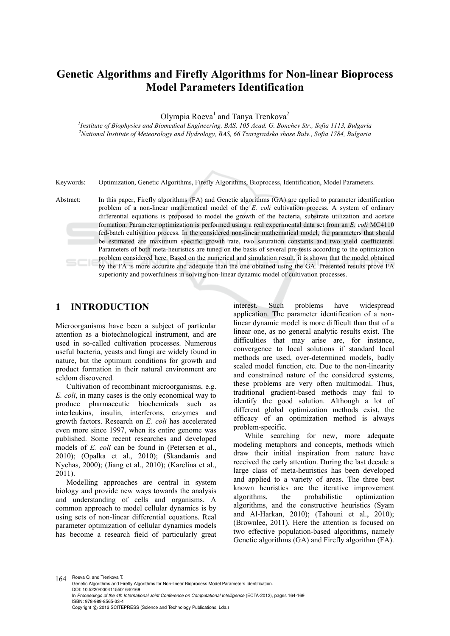# **Genetic Algorithms and Firefly Algorithms for Non-linear Bioprocess Model Parameters Identification**

Olympia Roeva<sup>1</sup> and Tanya Trenkova<sup>2</sup>

<sup>1</sup> Institute of Biophysics and Biomedical Engineering, BAS, 105 Acad. G. Bonchev Str., Sofia 1113, Bulgaria <sup>2</sup><br><sup>2</sup> National Institute of Meteorology and Hydrology, BAS, 66 Travianadeke shose Buly, Sofia 1784, Bulgaria *National Institute of Meteorology and Hydrology, BAS, 66 Tzarigradsko shose Bulv., Sofia 1784, Bulgaria* 

Keywords: Optimization, Genetic Algorithms, Firefly Algorithms, Bioprocess, Identification, Model Parameters.

Abstract: In this paper, Firefly algorithms (FA) and Genetic algorithms (GA) are applied to parameter identification problem of a non-linear mathematical model of the *E. coli* cultivation process. A system of ordinary differential equations is proposed to model the growth of the bacteria, substrate utilization and acetate formation. Parameter optimization is performed using a real experimental data set from an *E. coli* MC4110 fed-batch cultivation process. In the considered non-linear mathematical model, the parameters that should be estimated are maximum specific growth rate, two saturation constants and two yield coefficients. Parameters of both meta-heuristics are tuned on the basis of several pre-tests according to the optimization problem considered here. Based on the numerical and simulation result, it is shown that the model obtained by the FA is more accurate and adequate than the one obtained using the GA. Presented results prove FA superiority and powerfulness in solving non-linear dynamic model of cultivation processes.

# **1 INTRODUCTION**

Microorganisms have been a subject of particular attention as a biotechnological instrument, and are used in so-called cultivation processes. Numerous useful bacteria, yeasts and fungi are widely found in nature, but the optimum conditions for growth and product formation in their natural environment are seldom discovered.

Cultivation of recombinant microorganisms, e.g. *E. coli*, in many cases is the only economical way to produce pharmaceutic biochemicals such as interleukins, insulin, interferons, enzymes and growth factors. Research on *E. coli* has accelerated even more since 1997, when its entire genome was published. Some recent researches and developed models of *E. coli* can be found in (Petersen et al., 2010); (Opalka et al., 2010); (Skandamis and Nychas, 2000); (Jiang et al., 2010); (Karelina et al., 2011).

Modelling approaches are central in system biology and provide new ways towards the analysis and understanding of cells and organisms. A common approach to model cellular dynamics is by using sets of non-linear differential equations. Real parameter optimization of cellular dynamics models has become a research field of particularly great

interest. Such problems have widespread application. The parameter identification of a nonlinear dynamic model is more difficult than that of a linear one, as no general analytic results exist. The difficulties that may arise are, for instance, convergence to local solutions if standard local methods are used, over-determined models, badly scaled model function, etc. Due to the non-linearity and constrained nature of the considered systems, these problems are very often multimodal. Thus, traditional gradient-based methods may fail to identify the good solution. Although a lot of different global optimization methods exist, the efficacy of an optimization method is always problem-specific.

While searching for new, more adequate modeling metaphors and concepts, methods which draw their initial inspiration from nature have received the early attention. During the last decade a large class of meta-heuristics has been developed and applied to a variety of areas. The three best known heuristics are the iterative improvement algorithms, the probabilistic optimization algorithms, and the constructive heuristics (Syam and Al-Harkan, 2010); (Tahouni et al., 2010); (Brownlee, 2011). Here the attention is focused on two effective population-based algorithms, namely Genetic algorithms (GA) and Firefly algorithm (FA).

164 Roeva O. and Trenkova T. Genetic Algorithms and Firefly Algorithms for Non-linear Bioprocess Model Parameters Identification. DOI: 10.5220/0004115501640169 In *Proceedings of the 4th International Joint Conference on Computational Intelligence* (ECTA-2012), pages 164-169 ISBN: 978-989-8565-33-4 Copyright © 2012 SCITEPRESS (Science and Technology Publications, Lda.)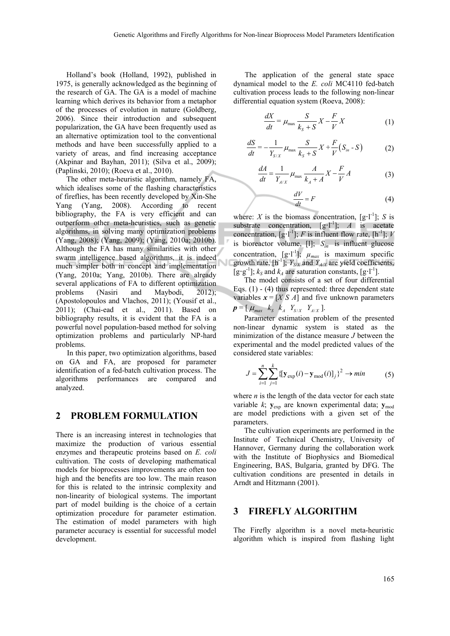Holland's book (Holland, 1992), published in 1975, is generally acknowledged as the beginning of the research of GA. The GA is a model of machine learning which derives its behavior from a metaphor of the processes of evolution in nature (Goldberg, 2006). Since their introduction and subsequent popularization, the GA have been frequently used as an alternative optimization tool to the conventional methods and have been successfully applied to a variety of areas, and find increasing acceptance (Akpinar and Bayhan, 2011); (Silva et al., 2009); (Paplinski, 2010); (Roeva et al., 2010).

The other meta-heuristic algorithm, namely FA, which idealises some of the flashing characteristics of fireflies, has been recently developed by Xin-She Yang (Yang, 2008). According to recent bibliography, the FA is very efficient and can outperform other meta-heuristics, such as genetic algorithms, in solving many optimization problems (Yang, 2008); (Yang, 2009); (Yang, 2010a; 2010b). Although the FA has many similarities with other swarm intelligence based algorithms, it is indeed much simpler both in concept and implementation (Yang, 2010a; Yang, 2010b). There are already several applications of FA to different optimization problems (Nasiri and Maybodi, 2012); (Apostolopoulos and Vlachos, 2011); (Yousif et al., 2011); (Chai-ead et al., 2011). Based on bibliography results, it is evident that the FA is a powerful novel population-based method for solving optimization problems and particularly NP-hard problems.

In this paper, two optimization algorithms, based on GA and FA, are proposed for parameter identification of a fed-batch cultivation process. The algorithms performances are compared and analyzed.

#### **2 PROBLEM FORMULATION**

There is an increasing interest in technologies that maximize the production of various essential enzymes and therapeutic proteins based on *E. coli* cultivation. The costs of developing mathematical models for bioprocesses improvements are often too high and the benefits are too low. The main reason for this is related to the intrinsic complexity and non-linearity of biological systems. The important part of model building is the choice of a certain optimization procedure for parameter estimation. The estimation of model parameters with high parameter accuracy is essential for successful model development.

The application of the general state space dynamical model to the *E. coli* MC4110 fed-batch cultivation process leads to the following non-linear differential equation system (Roeva, 2008):

$$
\frac{dX}{dt} = \mu_{\text{max}} \frac{S}{k_s + S} X - \frac{F}{V} X \tag{1}
$$

$$
\frac{dS}{dt} = -\frac{1}{Y_{S/X}} \mu_{\text{max}} \frac{S}{k_S + S} X + \frac{F}{V} (S_{in} - S) \tag{2}
$$

$$
\frac{dA}{dt} = \frac{1}{Y_{A/X}} \mu_{\text{max}} \frac{A}{k_A + A} X - \frac{F}{V} A \tag{3}
$$

$$
\frac{dV}{dt} = F \tag{4}
$$

where: *X* is the biomass concentration,  $[g \cdot l^{-1}]$ ; *S* is substrate concentration,  $[g^{-1}]$ ; *A* is acetate concentration,  $[g \cdot l^{-1}]$ ; *F* is influent flow rate,  $[h^{-1}]$ ; *V* is bioreactor volume, [1];  $S_{in}$  is influent glucose concentration,  $[g\cdot l^{-1}]$ ;  $\mu_{max}$  is maximum specific growth rate,  $[h^{-1}]$ ;  $Y_{S/X}$  and  $Y_{A/X}$  are yield coefficients,  $[g \cdot g^{-1}]$ ;  $k_S$  and  $k_A$  are saturation constants,  $[g \cdot l^{-1}]$ .

The model consists of a set of four differential Eqs.  $(1)$  -  $(4)$  thus represented: three dependent state variables  $x = [X \ S \ A]$  and five unknown parameters  $p = [\mu_{max} \; k_s \; k_A \; Y_{S/X} \; Y_{A/X}].$ 

Parameter estimation problem of the presented non-linear dynamic system is stated as the minimization of the distance measure *J* between the experimental and the model predicted values of the considered state variables:

$$
J = \sum_{i=1}^{n} \sum_{j=1}^{k} \{ [\mathbf{y}_{exp}(i) - \mathbf{y}_{mod}(i)]_j \}^2 \to \min
$$
 (5)

where  $n$  is the length of the data vector for each state variable *k*;  $y_{exp}$  are known experimental data;  $y_{mod}$ are model predictions with a given set of the parameters.

The cultivation experiments are performed in the Institute of Technical Chemistry, University of Hannover, Germany during the collaboration work with the Institute of Biophysics and Biomedical Engineering, BAS, Bulgaria, granted by DFG. The cultivation conditions are presented in details in Arndt and Hitzmann (2001).

#### **3 FIREFLY ALGORITHM**

The Firefly algorithm is a novel meta-heuristic algorithm which is inspired from flashing light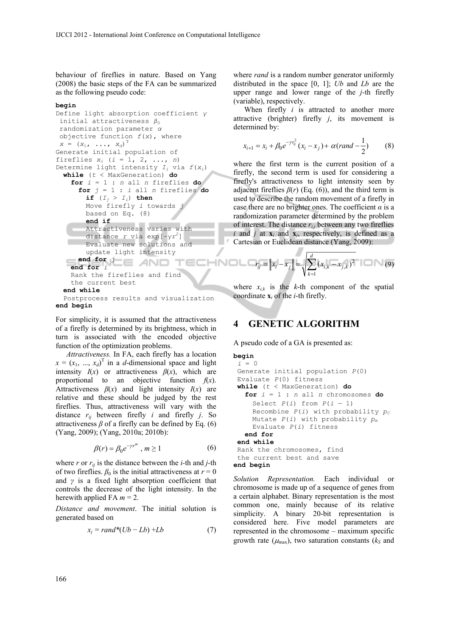behaviour of fireflies in nature. Based on Yang (2008) the basic steps of the FA can be summarized as the following pseudo code:

#### **begin**

```
Define light absorption coefficient γ
initial attractiveness β_0randomization parameter α
objective function f(x), where 
X = (x_1, \ldots, x_d)^TGenerate initial population of 
fireflies x_i (i = 1, 2, ..., n)
Determine light intensity Ii via f(xi) 
 while (t < MaxGeneration) do
   for i = 1 : n all n fireflies do
     for j = 1 : i all n fireflies do
       if (I_j > I_j) then
       Move firefly i towards j 
       based on Eq. (8) 
       end if 
       Attractiveness varies with 
       distance r via exp[−γr2
] 
       Evaluate new solutions and 
       update light intensity 
    end for j
                              TECHNOLD
   end for i
   Rank the fireflies and find 
   the current best 
 end while 
 Postprocess results and visualization 
end begin
```
For simplicity, it is assumed that the attractiveness of a firefly is determined by its brightness, which in turn is associated with the encoded objective function of the optimization problems.

*Attractiveness.* In FA, each firefly has a location  $x = (x_1, ..., x_d)$ <sup>T</sup> in a *d*-dimensional space and light intensity  $I(x)$  or attractiveness  $\beta(x)$ , which are proportional to an objective function  $f(x)$ . Attractiveness  $\beta(x)$  and light intensity  $I(x)$  are relative and these should be judged by the rest fireflies. Thus, attractiveness will vary with the distance  $r_{ii}$  between firefly *i* and firefly *j*. So attractiveness  $\beta$  of a firefly can be defined by Eq. (6) (Yang, 2009); (Yang, 2010a; 2010b):

$$
\beta(r) = \beta_0 e^{-\gamma r^m}, \, m \ge 1 \tag{6}
$$

where  $r$  or  $r_{ii}$  is the distance between the *i*-th and *j*-th of two fireflies.  $\beta_0$  is the initial attractiveness at  $r = 0$ and  $\gamma$  is a fixed light absorption coefficient that controls the decrease of the light intensity. In the herewith applied FA  $m = 2$ .

*Distance and movement*. The initial solution is generated based on

$$
x_j = rand^*(Ub - Lb) + Lb \tag{7}
$$

where *rand* is a random number generator uniformly distributed in the space [0, 1]; *Ub* and *Lb* are the upper range and lower range of the *j-*th firefly (variable), respectively.

When firefly *i* is attracted to another more attractive (brighter) firefly *j*, its movement is determined by:

$$
x_{i+1} = x_i + \beta_0 e^{-\gamma r_{ij}^2} (x_i - x_j) + \alpha (rand - \frac{1}{2})
$$
 (8)

where the first term is the current position of a firefly, the second term is used for considering a firefly's attractiveness to light intensity seen by adjacent fireflies  $\beta(r)$  (Eq. (6)), and the third term is used to describe the random movement of a firefly in case there are no brighter ones. The coefficient *α* is a randomization parameter determined by the problem of interest. The distance  $r_{i,j}$  between any two fireflies *i* and *j* at  $\mathbf{x}_i$  and  $\mathbf{x}_j$ , respectively, is defined as a Cartesian or Euclidean distance (Yang, 2009):

$$
r_{ij} = ||x_i - x_j|| = \sqrt{\sum_{k=1}^d (x_{i,k} - x_{j,k})^2}
$$
 (9)

where  $x_{i,k}$  is the *k*-th component of the spatial coordinate **x***i* of the *i*-th firefly.

## **4 GENETIC ALGORITHM**

A pseudo code of a GA is presented as:

```
begin 
 i = 0 
 Generate initial population P(0) 
 Evaluate P(0) fitness 
 while (t < MaxGeneration) do
  for i = 1 : n all n chromosomes do 
    Select P(i) from P(i - 1)Recombine P(i) with probability p_cMutate P(i) with probability pm
    Evaluate P(i) fitness 
  end for 
  end while 
  Rank the chromosomes, find 
  the current best and save
end begin
```
*Solution Representation.* Each individual or chromosome is made up of a sequence of genes from a certain alphabet. Binary representation is the most common one, mainly because of its relative simplicity. A binary 20-bit representation is considered here. Five model parameters are represented in the chromosome – maximum specific growth rate  $(\mu_{\text{max}})$ , two saturation constants ( $k_s$  and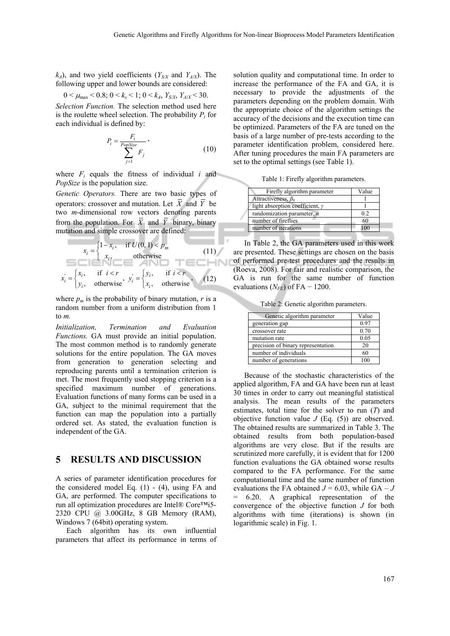NΠ

 $k_A$ ), and two yield coefficients ( $Y_{S/X}$  and  $Y_{A/X}$ ). The following upper and lower bounds are considered:

$$
0 < \mu_{\text{max}} < 0.8; \, 0 < k_s < 1; \, 0 < k_A, \, Y_{S/X}, \, Y_{A/X} < 30.
$$

*Selection Function.* The selection method used here is the roulette wheel selection. The probability  $P_i$  for each individual is defined by:

$$
P_i = \frac{F_i}{\sum_{j=1}^{PopSize} F_j},
$$
\n(10)

where  $F_i$  equals the fitness of individual *i* and *PopSize* is the population size.

*Genetic Operators.* There are two basic types of operators: crossover and mutation. Let  $\overline{X}$  and  $\overline{Y}$  be two *m*-dimensional row vectors denoting parents from the population. For  $\overline{X}$  and  $\overline{Y}$  binary, binary mutation and simple crossover are defined:

$$
x_i = \begin{cases} 1 - x_i, & \text{if } U(0, 1) < p_m \\ x_i, & \text{otherwise} \end{cases} \tag{11}
$$
\n
$$
x_i = \begin{cases} x_i, & \text{if } i < r \\ y_i, & \text{otherwise} \end{cases}, \quad y_i' = \begin{cases} y_i, & \text{if } i < r \\ x_i, & \text{otherwise} \end{cases} \tag{12}
$$

where  $p_m$  is the probability of binary mutation,  $r$  is a random number from a uniform distribution from 1 to *m.*

*Initialization, Termination and Evaluation Functions.* GA must provide an initial population. The most common method is to randomly generate solutions for the entire population. The GA moves from generation to generation selecting and reproducing parents until a termination criterion is met. The most frequently used stopping criterion is a specified maximum number of generations. Evaluation functions of many forms can be used in a GA, subject to the minimal requirement that the function can map the population into a partially ordered set. As stated, the evaluation function is independent of the GA.

### **5 RESULTS AND DISCUSSION**

A series of parameter identification procedures for the considered model Eq.  $(1)$  -  $(4)$ , using FA and GA, are performed. The computer specifications to run all optimization procedures are Intel® Core™i5- 2320 CPU @ 3.00GHz, 8 GB Memory (RAM), Windows 7 (64bit) operating system.

Each algorithm has its own influential parameters that affect its performance in terms of

solution quality and computational time. In order to increase the performance of the FA and GA, it is necessary to provide the adjustments of the parameters depending on the problem domain. With the appropriate choice of the algorithm settings the accuracy of the decisions and the execution time can be optimized. Parameters of the FA are tuned on the basis of a large number of pre-tests according to the parameter identification problem, considered here. After tuning procedures the main FA parameters are set to the optimal settings (see Table 1).

Table 1: Firefly algorithm parameters.

| Firefly algorithm parameter            | Value |
|----------------------------------------|-------|
| Attractiveness, $\beta_0$              |       |
| light absorption coefficient, $\gamma$ |       |
| randomization parameter, $\alpha$      | 0.2   |
| number of fireflies                    | 60    |
| number of iterations                   |       |

In Table 2, the GA parameters used in this work are presented. These settings are chosen on the basis of performed pre-test procedures and the results in (Roeva, 2008). For fair and realistic comparison, the GA is run for the same number of function evaluations  $(N_{FE})$  of FA – 1200.

Table 2: Genetic algorithm parameters.

| Genetic algorithm parameter        | Value |
|------------------------------------|-------|
| generation gap                     | 0.97  |
| crossover rate                     | 0.70  |
| mutation rate                      | 0.05  |
| precision of binary representation | 20    |
| number of individuals              | 60    |
| number of generations              |       |

Because of the stochastic characteristics of the applied algorithm, FA and GA have been run at least 30 times in order to carry out meaningful statistical analysis. The mean results of the parameters estimates, total time for the solver to run (*T*) and objective function value *J* (Eq. (5)) are observed. The obtained results are summarized in Table 3. The obtained results from both population-based algorithms are very close. But if the results are scrutinized more carefully, it is evident that for 1200 function evaluations the GA obtained worse results compared to the FA performance. For the same computational time and the same number of function evaluations the FA obtained  $J = 6.03$ , while  $GA - J$ = 6.20. A graphical representation of the convergence of the objective function *J* for both algorithms with time (iterations) is shown (in logarithmic scale) in Fig. 1.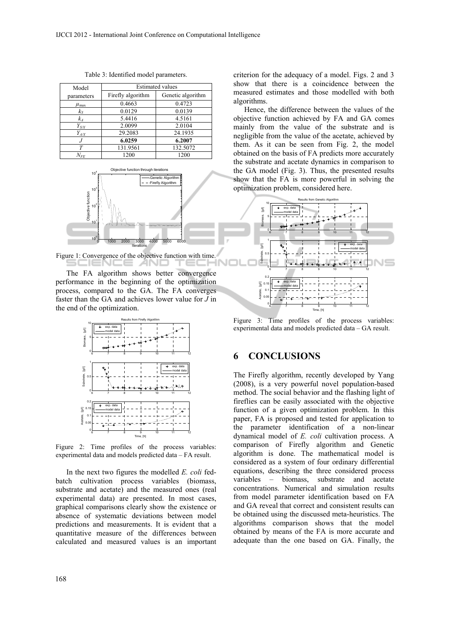| Model              | <b>Estimated values</b> |                   |
|--------------------|-------------------------|-------------------|
| parameters         | Firefly algorithm       | Genetic algorithm |
| $\mu_{\text{max}}$ | 0.4663                  | 0.4723            |
| $k_{S}$            | 0.0129                  | 0.0139            |
| $k_A$              | 5.4416                  | 4.5161            |
| $Y_{S/X}$          | 2.0099                  | 2.0104            |
| $Y_{A/X}$          | 29.2083                 | 24.1935           |
|                    | 6.0259                  | 6.2007            |
| $\tau$             | 131.9561                | 132.5072          |
| $N_{FE}$           | 1200                    | 1200              |

Table 3: Identified model parameters.



Figure 1: Convergence of the objective function with time.

The FA algorithm shows better convergence performance in the beginning of the optimization process, compared to the GA. The FA converges faster than the GA and achieves lower value for *J* in the end of the optimization.



Figure 2: Time profiles of the process variables: experimental data and models predicted data – FA result.

In the next two figures the modelled *E. coli* fedbatch cultivation process variables (biomass, substrate and acetate) and the measured ones (real experimental data) are presented. In most cases, graphical comparisons clearly show the existence or absence of systematic deviations between model predictions and measurements. It is evident that a quantitative measure of the differences between calculated and measured values is an important criterion for the adequacy of a model. Figs. 2 and 3 show that there is a coincidence between the measured estimates and those modelled with both algorithms.

Hence, the difference between the values of the objective function achieved by FA and GA comes mainly from the value of the substrate and is negligible from the value of the acetate, achieved by them. As it can be seen from Fig. 2, the model obtained on the basis of FA predicts more accurately the substrate and acetate dynamics in comparison to the GA model (Fig. 3). Thus, the presented results show that the FA is more powerful in solving the optimization problem, considered here.



Figure 3: Time profiles of the process variables: experimental data and models predicted data – GA result.

# **6 CONCLUSIONS**

The Firefly algorithm, recently developed by Yang (2008), is a very powerful novel population-based method. The social behavior and the flashing light of fireflies can be easily associated with the objective function of a given optimization problem. In this paper, FA is proposed and tested for application to the parameter identification of a non-linear dynamical model of *E. coli* cultivation process. A comparison of Firefly algorithm and Genetic algorithm is done. The mathematical model is considered as a system of four ordinary differential equations, describing the three considered process variables *–* biomass, substrate and acetate concentrations. Numerical and simulation results from model parameter identification based on FA and GA reveal that correct and consistent results can be obtained using the discussed meta-heuristics. The algorithms comparison shows that the model obtained by means of the FA is more accurate and adequate than the one based on GA. Finally, the